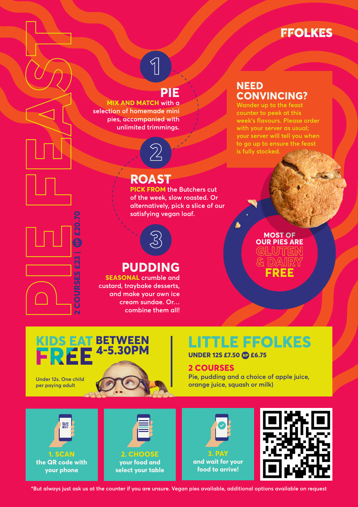# **FFOLKES**

# **PIE**

**1**

**MIX AND MATCH with a selection of homemade mini pies, accompanied with unlimited trimmings.**

# **ROAST**

**2**

**PICK FROM the Butchers cut of the week, slow roasted. Or alternatively, pick a slice of our satisfying vegan loaf.**



# **PUDDING**

**SEASONAL crumble and custard, traybake desserts, and make your own ice cream sundae. Or… combine them all!**

### **NEED CONVINCING?**

**counter to peek at this week's flavours. Please order with your server as usual; your server will tell you when to go up to ensure the feast is fully stocked.**

## **MOST OF OUR PIES ARE GLUTEN & DAIRY FREE**

# KIDS EAT BETWEEN **Under 12s. One child per paying adult**

**2 COURSES £23 | £20.70**

**SES £23** 

NP) £20.

# **LITTLE FFOLKES**

**UNDER 12S £7.50 £6.75**

### **2 COURSES**

**Pie, pudding and a choice of apple juice, orange juice, squash or milk)**









**\*But always just ask us at the counter if you are unsure. Vegan pies available, additional options available on request**